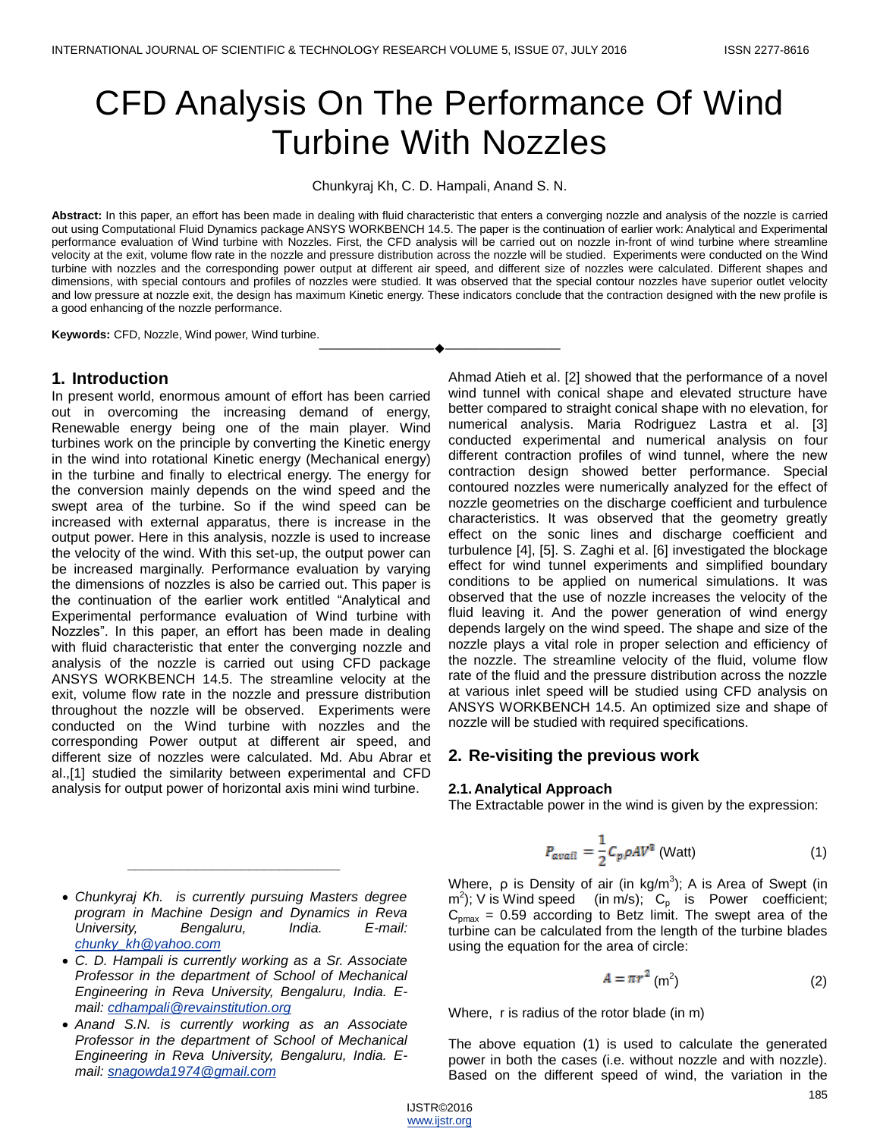# CFD Analysis On The Performance Of Wind Turbine With Nozzles

Chunkyraj Kh, C. D. Hampali, Anand S. N.

Abstract: In this paper, an effort has been made in dealing with fluid characteristic that enters a converging nozzle and analysis of the nozzle is carried out using Computational Fluid Dynamics package ANSYS WORKBENCH 14.5. The paper is the continuation of earlier work: Analytical and Experimental performance evaluation of Wind turbine with Nozzles. First, the CFD analysis will be carried out on nozzle in-front of wind turbine where streamline velocity at the exit, volume flow rate in the nozzle and pressure distribution across the nozzle will be studied. Experiments were conducted on the Wind turbine with nozzles and the corresponding power output at different air speed, and different size of nozzles were calculated. Different shapes and dimensions, with special contours and profiles of nozzles were studied. It was observed that the special contour nozzles have superior outlet velocity and low pressure at nozzle exit, the design has maximum Kinetic energy. These indicators conclude that the contraction designed with the new profile is a good enhancing of the nozzle performance.

————————————————————

**Keywords:** CFD, Nozzle, Wind power, Wind turbine.

## **1. Introduction**

In present world, enormous amount of effort has been carried out in overcoming the increasing demand of energy, Renewable energy being one of the main player. Wind turbines work on the principle by converting the Kinetic energy in the wind into rotational Kinetic energy (Mechanical energy) in the turbine and finally to electrical energy. The energy for the conversion mainly depends on the wind speed and the swept area of the turbine. So if the wind speed can be increased with external apparatus, there is increase in the output power. Here in this analysis, nozzle is used to increase the velocity of the wind. With this set-up, the output power can be increased marginally. Performance evaluation by varying the dimensions of nozzles is also be carried out. This paper is the continuation of the earlier work entitled "Analytical and Experimental performance evaluation of Wind turbine with Nozzles". In this paper, an effort has been made in dealing with fluid characteristic that enter the converging nozzle and analysis of the nozzle is carried out using CFD package ANSYS WORKBENCH 14.5. The streamline velocity at the exit, volume flow rate in the nozzle and pressure distribution throughout the nozzle will be observed. Experiments were conducted on the Wind turbine with nozzles and the corresponding Power output at different air speed, and different size of nozzles were calculated. Md. Abu Abrar et al.,[1] studied the similarity between experimental and CFD analysis for output power of horizontal axis mini wind turbine.

Ahmad Atieh et al. [2] showed that the performance of a novel wind tunnel with conical shape and elevated structure have better compared to straight conical shape with no elevation, for numerical analysis. Maria Rodriguez Lastra et al. [3] conducted experimental and numerical analysis on four different contraction profiles of wind tunnel, where the new contraction design showed better performance. Special contoured nozzles were numerically analyzed for the effect of nozzle geometries on the discharge coefficient and turbulence characteristics. It was observed that the geometry greatly effect on the sonic lines and discharge coefficient and turbulence [4], [5]. S. Zaghi et al. [6] investigated the blockage effect for wind tunnel experiments and simplified boundary conditions to be applied on numerical simulations. It was observed that the use of nozzle increases the velocity of the fluid leaving it. And the power generation of wind energy depends largely on the wind speed. The shape and size of the nozzle plays a vital role in proper selection and efficiency of the nozzle. The streamline velocity of the fluid, volume flow rate of the fluid and the pressure distribution across the nozzle at various inlet speed will be studied using CFD analysis on ANSYS WORKBENCH 14.5. An optimized size and shape of nozzle will be studied with required specifications.

## **2. Re-visiting the previous work**

#### **2.1. Analytical Approach**

The Extractable power in the wind is given by the expression:

$$
P_{avail} = \frac{1}{2} C_p \rho A V^3 \text{ (Watt)} \tag{1}
$$

Where,  $\rho$  is Density of air (in kg/m<sup>3</sup>); A is Area of Swept (in  $(m^2)$ ; V is Wind speed (in m/s);  $C_p$  is Power coefficient;  $C_{pmax}$  = 0.59 according to Betz limit. The swept area of the turbine can be calculated from the length of the turbine blades using the equation for the area of circle:

$$
A = \pi r^2 \text{ (m}^2 \text{)}
$$
 (2)

Where, r is radius of the rotor blade (in m)

The above equation (1) is used to calculate the generated power in both the cases (i.e. without nozzle and with nozzle). Based on the different speed of wind, the variation in the

 *Chunkyraj Kh. is currently pursuing Masters degree program in Machine Design and Dynamics in Reva University, Bengaluru, India. E-mail: [chunky\\_kh@yahoo.com](mailto:chunky_kh@yahoo.com)*

*\_\_\_\_\_\_\_\_\_\_\_\_\_\_\_\_\_\_\_\_\_\_\_\_\_\_\_\_*

- *C. D. Hampali is currently working as a Sr. Associate Professor in the department of School of Mechanical Engineering in Reva University, Bengaluru, India. Email: [cdhampali@revainstitution.org](mailto:cdhampali@revainstitution.org)*
- *Anand S.N. is currently working as an Associate Professor in the department of School of Mechanical Engineering in Reva University, Bengaluru, India. Email: [snagowda1974@gmail.com](mailto:snagowda1974@gmail.com)*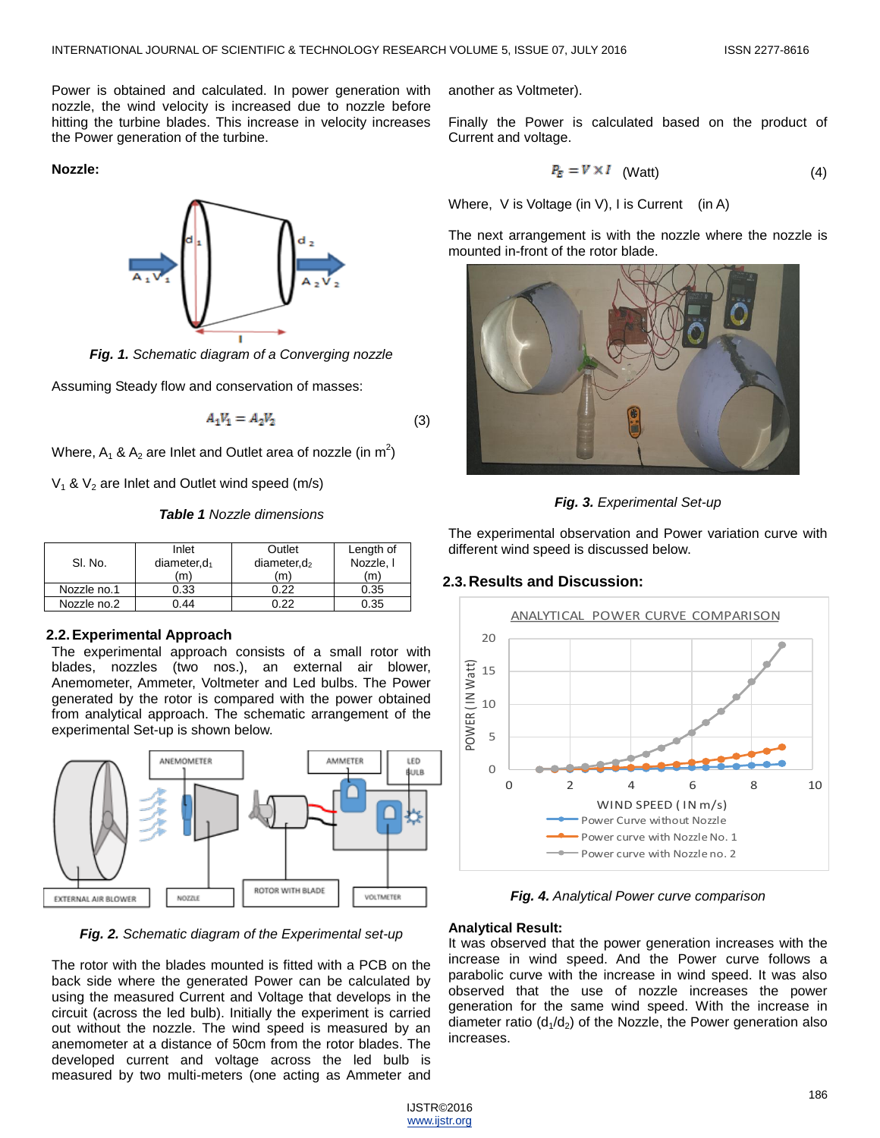Power is obtained and calculated. In power generation with nozzle, the wind velocity is increased due to nozzle before hitting the turbine blades. This increase in velocity increases the Power generation of the turbine.

**Nozzle:**



*Fig. 1. Schematic diagram of a Converging nozzle*

Assuming Steady flow and conservation of masses:

$$
A_1 V_1 = A_2 V_2 \tag{3}
$$

Where, A<sub>1</sub> & A<sub>2</sub> are Inlet and Outlet area of nozzle (in  $m^2$ )

 $V_1$  &  $V_2$  are Inlet and Outlet wind speed (m/s)

*Table 1 Nozzle dimensions*

| SI. No.     | Inlet<br>$diameter, d_1$<br>(m) | Outlet<br>diameter, $d_2$<br>(m' | Length of<br>Nozzle, I<br>(m) |
|-------------|---------------------------------|----------------------------------|-------------------------------|
| Nozzle no.1 | 0.33                            | N 22                             | 0.35                          |
| Nozzle no.2 | 44                              | ገ 22                             | 0.35                          |

## **2.2.Experimental Approach**

The experimental approach consists of a small rotor with blades, nozzles (two nos.), an external air blower, Anemometer, Ammeter, Voltmeter and Led bulbs. The Power generated by the rotor is compared with the power obtained from analytical approach. The schematic arrangement of the experimental Set-up is shown below.



*Fig. 2. Schematic diagram of the Experimental set-up*

The rotor with the blades mounted is fitted with a PCB on the back side where the generated Power can be calculated by using the measured Current and Voltage that develops in the circuit (across the led bulb). Initially the experiment is carried out without the nozzle. The wind speed is measured by an anemometer at a distance of 50cm from the rotor blades. The developed current and voltage across the led bulb is measured by two multi-meters (one acting as Ammeter and

another as Voltmeter).

Finally the Power is calculated based on the product of Current and voltage.

$$
P_E = V \times I \quad \text{(Watt)} \tag{4}
$$

Where, V is Voltage (in V), I is Current (in A)

The next arrangement is with the nozzle where the nozzle is mounted in-front of the rotor blade.





The experimental observation and Power variation curve with different wind speed is discussed below.

# **2.3.Results and Discussion:**



*Fig. 4. Analytical Power curve comparison*

## **Analytical Result:**

It was observed that the power generation increases with the increase in wind speed. And the Power curve follows a parabolic curve with the increase in wind speed. It was also observed that the use of nozzle increases the power generation for the same wind speed. With the increase in diameter ratio  $(d_1/d_2)$  of the Nozzle, the Power generation also increases.

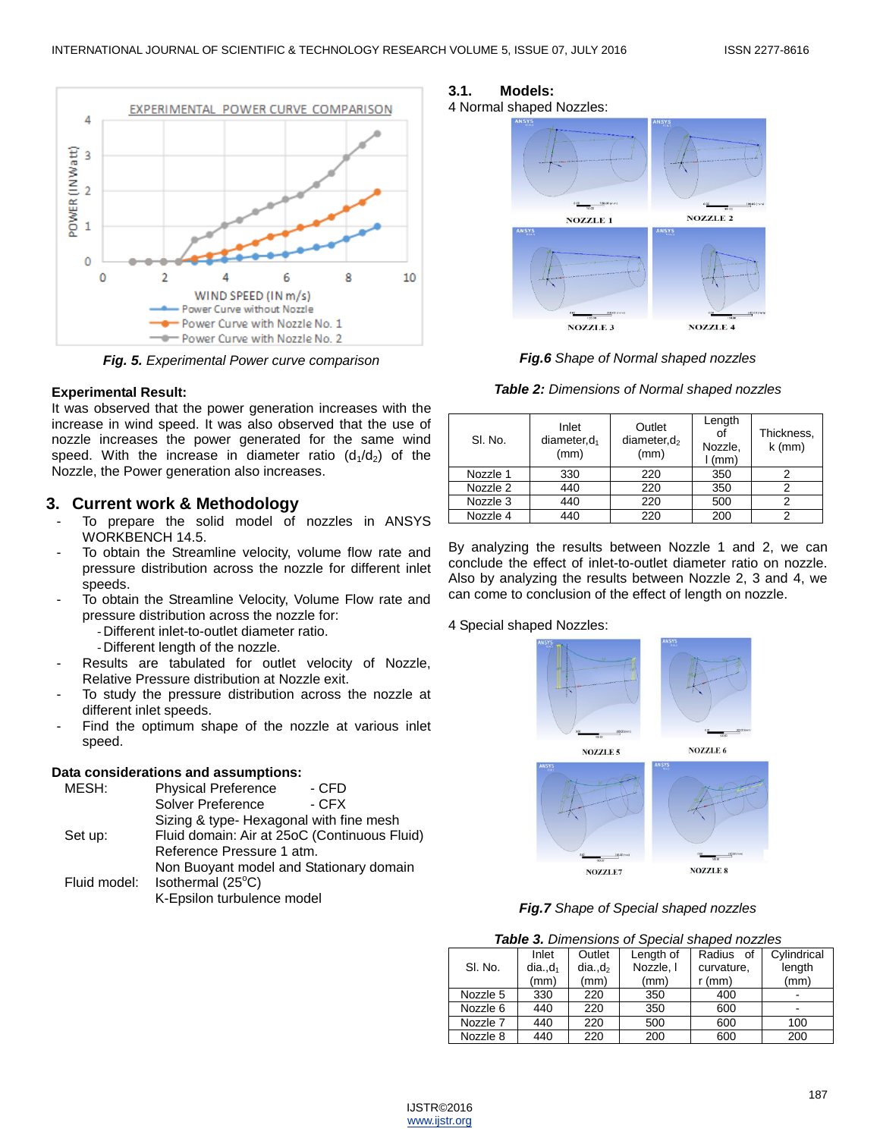

*Fig. 5. Experimental Power curve comparison*

## **Experimental Result:**

It was observed that the power generation increases with the increase in wind speed. It was also observed that the use of nozzle increases the power generated for the same wind speed. With the increase in diameter ratio  $(d_1/d_2)$  of the Nozzle, the Power generation also increases.

# **3. Current work & Methodology**

- To prepare the solid model of nozzles in ANSYS WORKBENCH 14.5.
- To obtain the Streamline velocity, volume flow rate and pressure distribution across the nozzle for different inlet speeds.
- To obtain the Streamline Velocity, Volume Flow rate and pressure distribution across the nozzle for:
	- Different inlet-to-outlet diameter ratio.
	- Different length of the nozzle.
- Results are tabulated for outlet velocity of Nozzle, Relative Pressure distribution at Nozzle exit.
- To study the pressure distribution across the nozzle at different inlet speeds.
- Find the optimum shape of the nozzle at various inlet speed.

## **Data considerations and assumptions:**

| MESH:        | <b>Physical Preference</b>                   | - CFD  |  |
|--------------|----------------------------------------------|--------|--|
|              | <b>Solver Preference</b>                     | $-CFX$ |  |
|              | Sizing & type- Hexagonal with fine mesh      |        |  |
| Set up:      | Fluid domain: Air at 25oC (Continuous Fluid) |        |  |
|              | Reference Pressure 1 atm.                    |        |  |
|              | Non Buoyant model and Stationary domain      |        |  |
| Fluid model: | Isothermal (25°C)                            |        |  |
|              | K-Epsilon turbulence model                   |        |  |
|              |                                              |        |  |

# **3.1. Models:**





*Fig.6 Shape of Normal shaped nozzles*

*Table 2: Dimensions of Normal shaped nozzles*

| SI. No.  | Inlet<br>diameter, $d_1$<br>(mm) | Outlet<br>diameter, $d_2$<br>(mm) | Length<br>οf<br>Nozzle,<br>$l$ (mm) | Thickness,<br>$k$ (mm) |
|----------|----------------------------------|-----------------------------------|-------------------------------------|------------------------|
| Nozzle 1 | 330                              | 220                               | 350                                 | າ                      |
| Nozzle 2 | 440                              | 220                               | 350                                 |                        |
| Nozzle 3 | 440                              | 220                               | 500                                 |                        |
| Nozzle 4 | 440                              | 220                               | 200                                 |                        |

By analyzing the results between Nozzle 1 and 2, we can conclude the effect of inlet-to-outlet diameter ratio on nozzle. Also by analyzing the results between Nozzle 2, 3 and 4, we can come to conclusion of the effect of length on nozzle.

## 4 Special shaped Nozzles:



*Fig.7 Shape of Special shaped nozzles*

| <b>Table 3.</b> Dimensions of Special shaped nozzles |                             |                                      |                                |                                     |                               |
|------------------------------------------------------|-----------------------------|--------------------------------------|--------------------------------|-------------------------------------|-------------------------------|
| SI. No.                                              | Inlet<br>$dia.,d_1$<br>(mm) | Outlet<br>dia.d <sub>2</sub><br>(mm) | Length of<br>Nozzle, I<br>(mm) | Radius of<br>curvature,<br>$r$ (mm) | Cylindrical<br>length<br>(mm) |
| Nozzle 5                                             | 330                         | 220                                  | 350                            | 400                                 |                               |
| Nozzle 6                                             | 440                         | 220                                  | 350                            | 600                                 |                               |
| Nozzle 7                                             | 440                         | 220                                  | 500                            | 600                                 | 100                           |
| Nozzle 8                                             | 440                         | 220                                  | 200                            | 600                                 | 200                           |

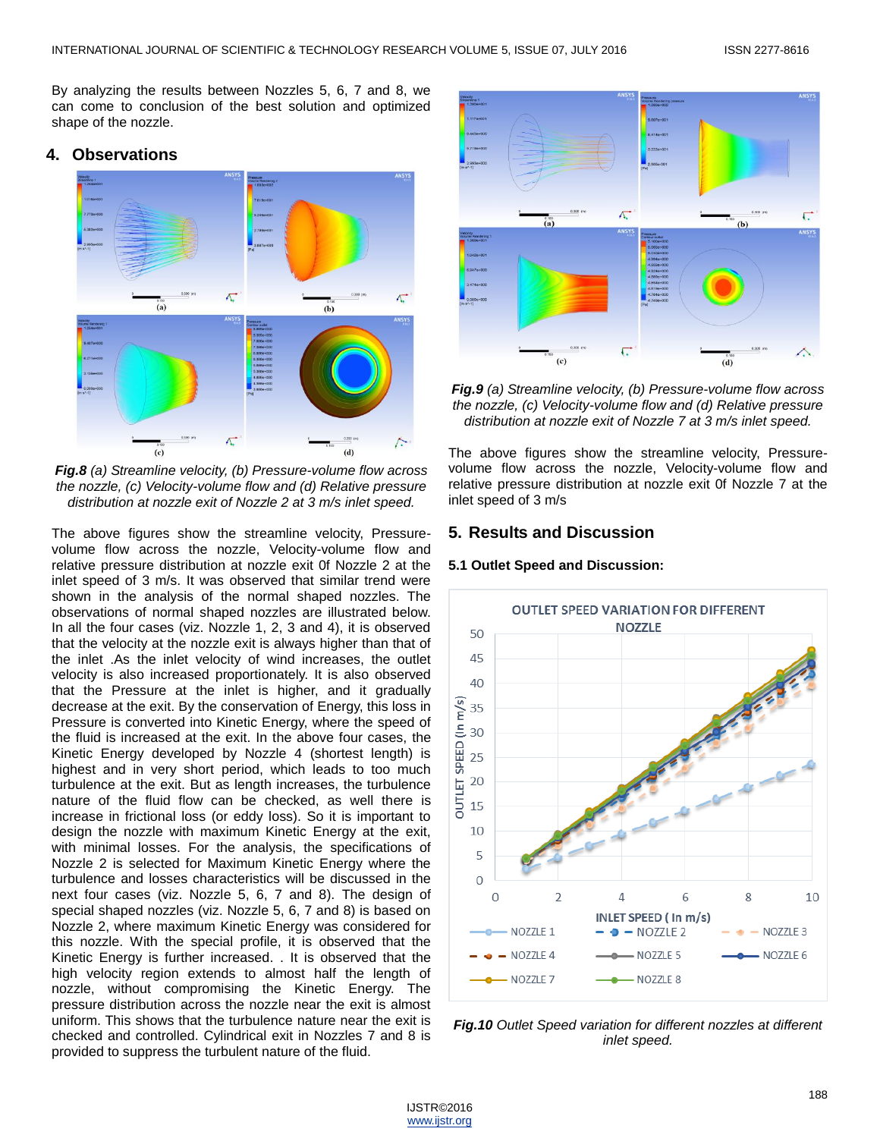By analyzing the results between Nozzles 5, 6, 7 and 8, we can come to conclusion of the best solution and optimized shape of the nozzle.

# **4. Observations**



*Fig.8 (a) Streamline velocity, (b) Pressure-volume flow across the nozzle, (c) Velocity-volume flow and (d) Relative pressure distribution at nozzle exit of Nozzle 2 at 3 m/s inlet speed.*

The above figures show the streamline velocity, Pressurevolume flow across the nozzle, Velocity-volume flow and relative pressure distribution at nozzle exit 0f Nozzle 2 at the inlet speed of 3 m/s. It was observed that similar trend were shown in the analysis of the normal shaped nozzles. The observations of normal shaped nozzles are illustrated below. In all the four cases (viz. Nozzle 1, 2, 3 and 4), it is observed that the velocity at the nozzle exit is always higher than that of the inlet .As the inlet velocity of wind increases, the outlet velocity is also increased proportionately. It is also observed that the Pressure at the inlet is higher, and it gradually decrease at the exit. By the conservation of Energy, this loss in Pressure is converted into Kinetic Energy, where the speed of the fluid is increased at the exit. In the above four cases, the Kinetic Energy developed by Nozzle 4 (shortest length) is highest and in very short period, which leads to too much turbulence at the exit. But as length increases, the turbulence nature of the fluid flow can be checked, as well there is increase in frictional loss (or eddy loss). So it is important to design the nozzle with maximum Kinetic Energy at the exit, with minimal losses. For the analysis, the specifications of Nozzle 2 is selected for Maximum Kinetic Energy where the turbulence and losses characteristics will be discussed in the next four cases (viz. Nozzle 5, 6, 7 and 8). The design of special shaped nozzles (viz. Nozzle 5, 6, 7 and 8) is based on Nozzle 2, where maximum Kinetic Energy was considered for this nozzle. With the special profile, it is observed that the Kinetic Energy is further increased. . It is observed that the high velocity region extends to almost half the length of nozzle, without compromising the Kinetic Energy. The pressure distribution across the nozzle near the exit is almost uniform. This shows that the turbulence nature near the exit is checked and controlled. Cylindrical exit in Nozzles 7 and 8 is provided to suppress the turbulent nature of the fluid.



*Fig.9 (a) Streamline velocity, (b) Pressure-volume flow across the nozzle, (c) Velocity-volume flow and (d) Relative pressure distribution at nozzle exit of Nozzle 7 at 3 m/s inlet speed.*

The above figures show the streamline velocity, Pressurevolume flow across the nozzle, Velocity-volume flow and relative pressure distribution at nozzle exit 0f Nozzle 7 at the inlet speed of 3 m/s

# **5. Results and Discussion**

## **5.1 Outlet Speed and Discussion:**



*Fig.10 Outlet Speed variation for different nozzles at different inlet speed.*